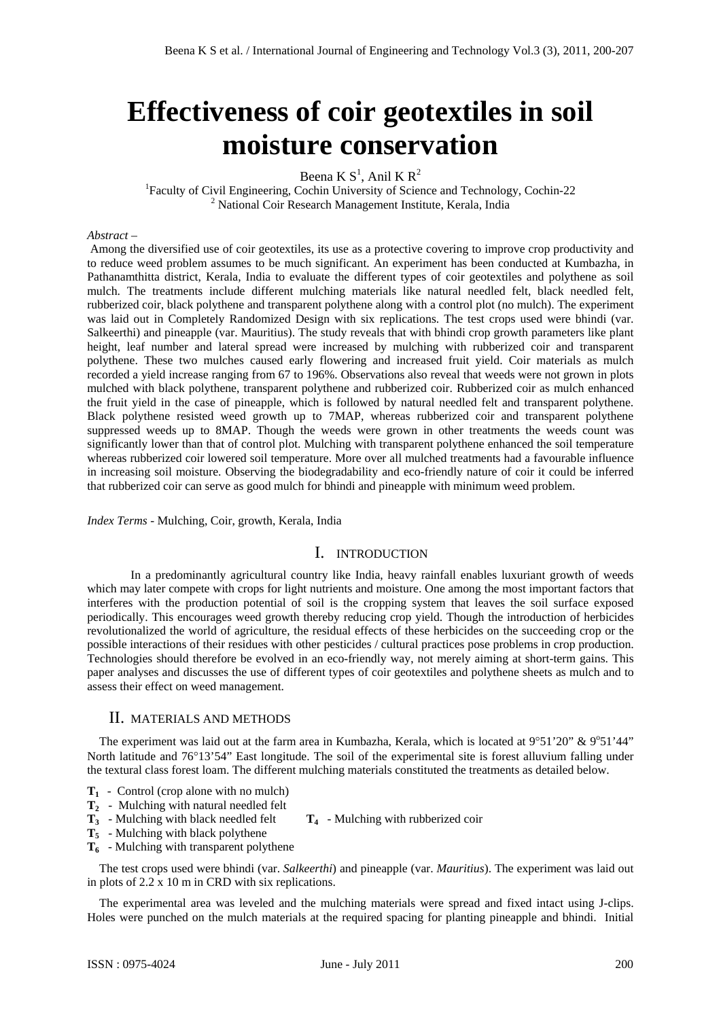# **Effectiveness of coir geotextiles in soil moisture conservation**

Beena K  $S^1$ , Anil K  $R^2$ 

<sup>1</sup> Faculty of Civil Engineering, Cochin University of Science and Technology, Cochin-22 <sup>2</sup> National Coir Research Management Institute, Kerala, India

#### *Abstract –*

 Among the diversified use of coir geotextiles, its use as a protective covering to improve crop productivity and to reduce weed problem assumes to be much significant. An experiment has been conducted at Kumbazha, in Pathanamthitta district, Kerala, India to evaluate the different types of coir geotextiles and polythene as soil mulch. The treatments include different mulching materials like natural needled felt, black needled felt, rubberized coir, black polythene and transparent polythene along with a control plot (no mulch). The experiment was laid out in Completely Randomized Design with six replications. The test crops used were bhindi (var. Salkeerthi) and pineapple (var. Mauritius). The study reveals that with bhindi crop growth parameters like plant height, leaf number and lateral spread were increased by mulching with rubberized coir and transparent polythene. These two mulches caused early flowering and increased fruit yield. Coir materials as mulch recorded a yield increase ranging from 67 to 196%. Observations also reveal that weeds were not grown in plots mulched with black polythene, transparent polythene and rubberized coir. Rubberized coir as mulch enhanced the fruit yield in the case of pineapple, which is followed by natural needled felt and transparent polythene. Black polythene resisted weed growth up to 7MAP, whereas rubberized coir and transparent polythene suppressed weeds up to 8MAP. Though the weeds were grown in other treatments the weeds count was significantly lower than that of control plot. Mulching with transparent polythene enhanced the soil temperature whereas rubberized coir lowered soil temperature. More over all mulched treatments had a favourable influence in increasing soil moisture. Observing the biodegradability and eco-friendly nature of coir it could be inferred that rubberized coir can serve as good mulch for bhindi and pineapple with minimum weed problem.

*Index Terms -* Mulching, Coir, growth, Kerala, India

# I. INTRODUCTION

 In a predominantly agricultural country like India, heavy rainfall enables luxuriant growth of weeds which may later compete with crops for light nutrients and moisture. One among the most important factors that interferes with the production potential of soil is the cropping system that leaves the soil surface exposed periodically. This encourages weed growth thereby reducing crop yield. Though the introduction of herbicides revolutionalized the world of agriculture, the residual effects of these herbicides on the succeeding crop or the possible interactions of their residues with other pesticides / cultural practices pose problems in crop production. Technologies should therefore be evolved in an eco-friendly way, not merely aiming at short-term gains. This paper analyses and discusses the use of different types of coir geotextiles and polythene sheets as mulch and to assess their effect on weed management.

#### II. MATERIALS AND METHODS

The experiment was laid out at the farm area in Kumbazha, Kerala, which is located at 9°51'20" & 9°51'44" North latitude and 76°13'54" East longitude. The soil of the experimental site is forest alluvium falling under the textural class forest loam. The different mulching materials constituted the treatments as detailed below.

- **T1**  Control (crop alone with no mulch)
- **T2** Mulching with natural needled felt
- $T_3$  Mulching with black needled felt  $T_4$  Mulching with rubberized coir
- **T5** Mulching with black polythene
- **T6**  Mulching with transparent polythene

The test crops used were bhindi (var. *Salkeerthi*) and pineapple (var. *Mauritius*). The experiment was laid out in plots of 2.2 x 10 m in CRD with six replications.

The experimental area was leveled and the mulching materials were spread and fixed intact using J-clips. Holes were punched on the mulch materials at the required spacing for planting pineapple and bhindi. Initial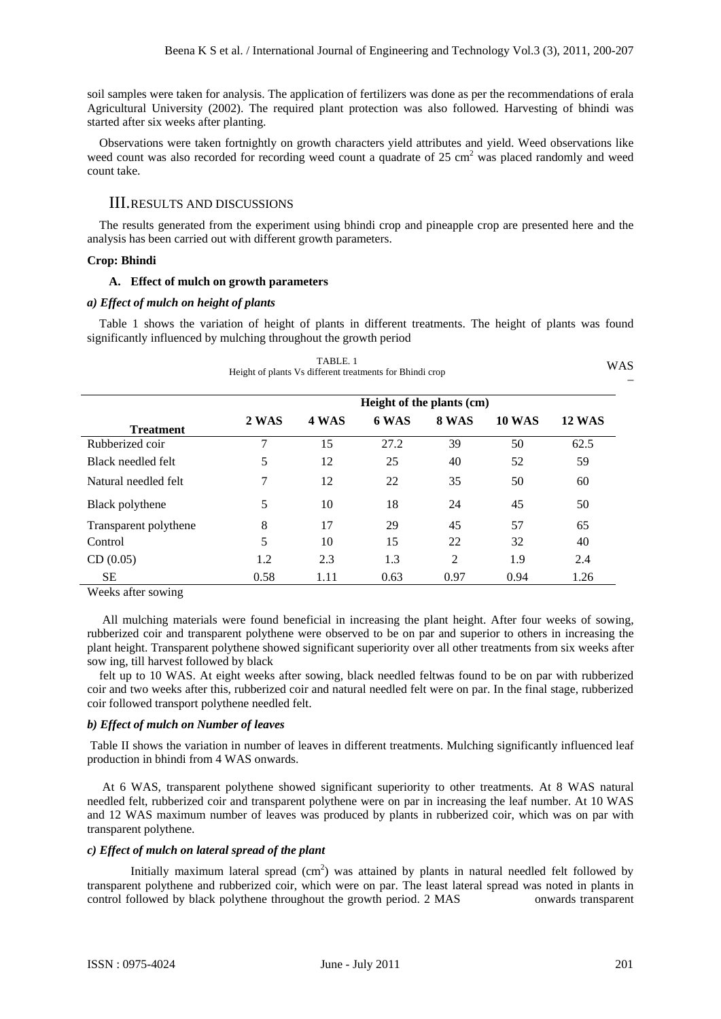soil samples were taken for analysis. The application of fertilizers was done as per the recommendations of erala Agricultural University (2002). The required plant protection was also followed. Harvesting of bhindi was started after six weeks after planting.

Observations were taken fortnightly on growth characters yield attributes and yield. Weed observations like weed count was also recorded for recording weed count a quadrate of 25 cm<sup>2</sup> was placed randomly and weed count take.

# III.RESULTS AND DISCUSSIONS

The results generated from the experiment using bhindi crop and pineapple crop are presented here and the analysis has been carried out with different growth parameters.

## **Crop: Bhindi**

#### **A. Effect of mulch on growth parameters**

#### *a) Effect of mulch on height of plants*

Table 1 shows the variation of height of plants in different treatments. The height of plants was found significantly influenced by mulching throughout the growth period

|                       | Height of plants Vs different treatments for Bhindi crop | TABLE. 1 |       |                |               | <b>WAS</b>    |  |  |  |
|-----------------------|----------------------------------------------------------|----------|-------|----------------|---------------|---------------|--|--|--|
|                       | Height of the plants (cm)                                |          |       |                |               |               |  |  |  |
| <b>Treatment</b>      | 2 WAS                                                    | 4 WAS    | 6 WAS | 8 WAS          | <b>10 WAS</b> | <b>12 WAS</b> |  |  |  |
| Rubberized coir       | 7                                                        | 15       | 27.2  | 39             | 50            | 62.5          |  |  |  |
| Black needled felt    | 5                                                        | 12       | 25    | 40             | 52            | 59            |  |  |  |
| Natural needled felt  | 7                                                        | 12       | 22    | 35             | 50            | 60            |  |  |  |
| Black polythene       | 5                                                        | 10       | 18    | 24             | 45            | 50            |  |  |  |
| Transparent polythene | 8                                                        | 17       | 29    | 45             | 57            | 65            |  |  |  |
| Control               | 5                                                        | 10       | 15    | 22             | 32            | 40            |  |  |  |
| CD(0.05)              | 1.2                                                      | 2.3      | 1.3   | $\overline{2}$ | 1.9           | 2.4           |  |  |  |
| <b>SE</b>             | 0.58                                                     | 1.11     | 0.63  | 0.97           | 0.94          | 1.26          |  |  |  |

Weeks after sowing

 All mulching materials were found beneficial in increasing the plant height. After four weeks of sowing, rubberized coir and transparent polythene were observed to be on par and superior to others in increasing the plant height. Transparent polythene showed significant superiority over all other treatments from six weeks after sow ing, till harvest followed by black

felt up to 10 WAS. At eight weeks after sowing, black needled feltwas found to be on par with rubberized coir and two weeks after this, rubberized coir and natural needled felt were on par. In the final stage, rubberized coir followed transport polythene needled felt.

#### *b) Effect of mulch on Number of leaves*

 Table II shows the variation in number of leaves in different treatments. Mulching significantly influenced leaf production in bhindi from 4 WAS onwards.

 At 6 WAS, transparent polythene showed significant superiority to other treatments. At 8 WAS natural needled felt, rubberized coir and transparent polythene were on par in increasing the leaf number. At 10 WAS and 12 WAS maximum number of leaves was produced by plants in rubberized coir, which was on par with transparent polythene.

## *c) Effect of mulch on lateral spread of the plant*

Initially maximum lateral spread  $(cm<sup>2</sup>)$  was attained by plants in natural needled felt followed by transparent polythene and rubberized coir, which were on par. The least lateral spread was noted in plants in control followed by black polythene throughout the growth period. 2 MAS onwards transparent

–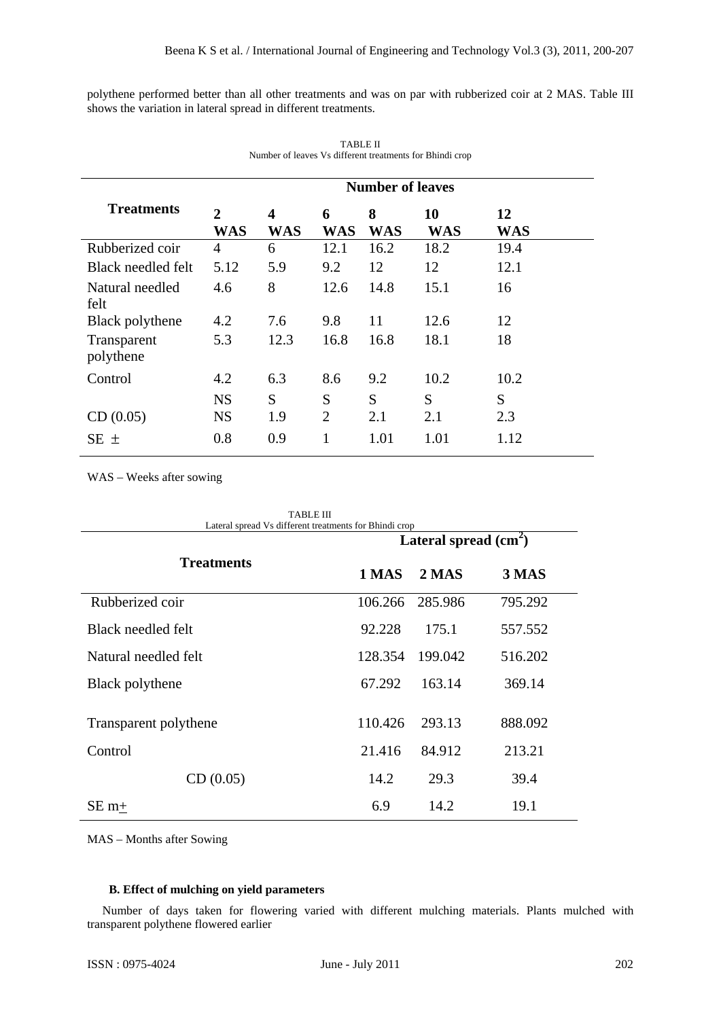polythene performed better than all other treatments and was on par with rubberized coir at 2 MAS. Table III shows the variation in lateral spread in different treatments.

|                          | <b>Number of leaves</b>      |                 |                 |                 |                  |                  |  |  |
|--------------------------|------------------------------|-----------------|-----------------|-----------------|------------------|------------------|--|--|
| <b>Treatments</b>        | $\overline{2}$<br><b>WAS</b> | 4<br><b>WAS</b> | 6<br><b>WAS</b> | 8<br><b>WAS</b> | 10<br><b>WAS</b> | 12<br><b>WAS</b> |  |  |
| Rubberized coir          | 4                            | 6               | 12.1            | 16.2            | 18.2             | 19.4             |  |  |
| Black needled felt       | 5.12                         | 5.9             | 9.2             | 12              | 12               | 12.1             |  |  |
| Natural needled<br>felt  | 4.6                          | 8               | 12.6            | 14.8            | 15.1             | 16               |  |  |
| Black polythene          | 4.2                          | 7.6             | 9.8             | 11              | 12.6             | 12               |  |  |
| Transparent<br>polythene | 5.3                          | 12.3            | 16.8            | 16.8            | 18.1             | 18               |  |  |
| Control                  | 4.2                          | 6.3             | 8.6             | 9.2             | 10.2             | 10.2             |  |  |
|                          | <b>NS</b>                    | S               | S               | S               | S                | S                |  |  |
| CD(0.05)                 | <b>NS</b>                    | 1.9             | 2               | 2.1             | 2.1              | 2.3              |  |  |
| SE ±                     | 0.8                          | 0.9             | 1               | 1.01            | 1.01             | 1.12             |  |  |

| TABLE II                                                 |  |
|----------------------------------------------------------|--|
| Number of leaves Vs different treatments for Bhindi crop |  |

WAS – Weeks after sowing

| <b>TABLE III</b><br>Lateral spread Vs different treatments for Bhindi crop |         |                        |         |  |  |  |  |
|----------------------------------------------------------------------------|---------|------------------------|---------|--|--|--|--|
|                                                                            |         | Lateral spread $(cm2)$ |         |  |  |  |  |
| <b>Treatments</b>                                                          | 1 MAS   | 2 MAS                  | 3 MAS   |  |  |  |  |
| Rubberized coir                                                            | 106.266 | 285.986                | 795.292 |  |  |  |  |
| Black needled felt                                                         | 92.228  | 175.1                  | 557.552 |  |  |  |  |
| Natural needled felt                                                       | 128.354 | 199.042                | 516.202 |  |  |  |  |
| Black polythene                                                            | 67.292  | 163.14                 | 369.14  |  |  |  |  |
| Transparent polythene                                                      | 110.426 | 293.13                 | 888.092 |  |  |  |  |
| Control                                                                    | 21.416  | 84.912                 | 213.21  |  |  |  |  |
| CD(0.05)                                                                   | 14.2    | 29.3                   | 39.4    |  |  |  |  |
| $SE m+$                                                                    | 6.9     | 14.2                   | 19.1    |  |  |  |  |

MAS – Months after Sowing

### **B. Effect of mulching on yield parameters**

 Number of days taken for flowering varied with different mulching materials. Plants mulched with transparent polythene flowered earlier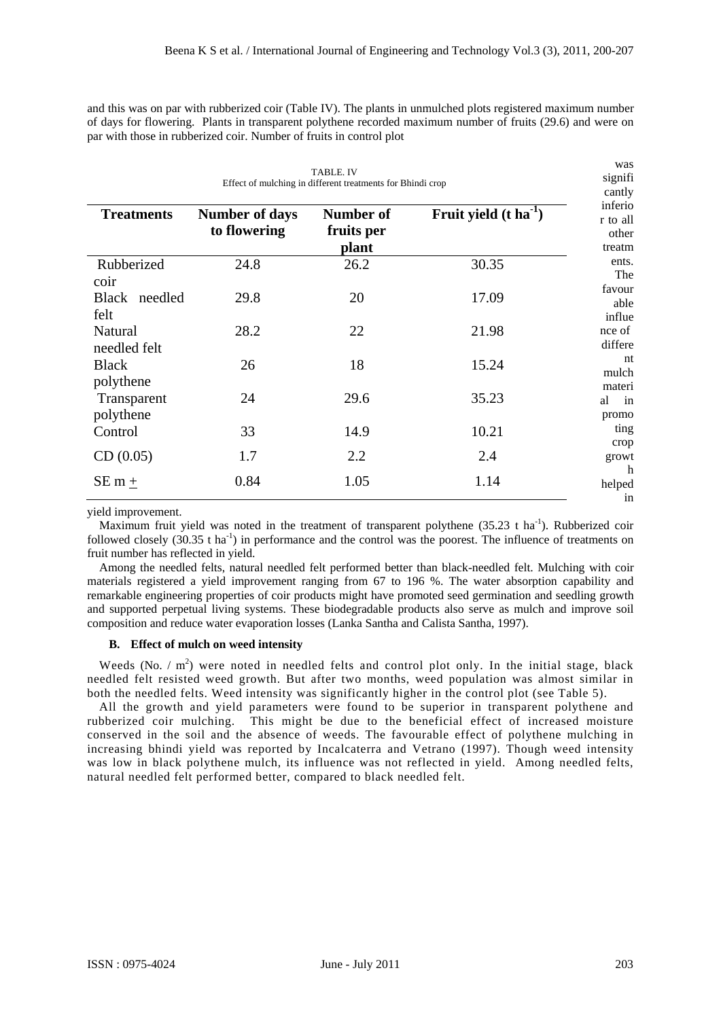and this was on par with rubberized coir (Table IV). The plants in unmulched plots registered maximum number of days for flowering. Plants in transparent polythene recorded maximum number of fruits (29.6) and were on par with those in rubberized coir. Number of fruits in control plot

| <b>TABLE. IV</b><br>Effect of mulching in different treatments for Bhindi crop |                                       |                                  |                              |                                        |  |  |  |
|--------------------------------------------------------------------------------|---------------------------------------|----------------------------------|------------------------------|----------------------------------------|--|--|--|
| <b>Treatments</b>                                                              | <b>Number of days</b><br>to flowering | Number of<br>fruits per<br>plant | Fruit yield $(t \, ha^{-1})$ | inferio<br>r to all<br>other<br>treatm |  |  |  |
| Rubberized<br>coir                                                             | 24.8                                  | 26.2                             | 30.35                        | ents.<br>The                           |  |  |  |
| Black needled<br>felt                                                          | 29.8                                  | 20                               | 17.09                        | favour<br>able<br>influe               |  |  |  |
| Natural<br>needled felt                                                        | 28.2                                  | 22                               | 21.98                        | nce of<br>differe                      |  |  |  |
| <b>Black</b><br>polythene                                                      | 26                                    | 18                               | 15.24                        | nt<br>mulch<br>materi                  |  |  |  |
| Transparent<br>polythene                                                       | 24                                    | 29.6                             | 35.23                        | al<br>in<br>promo                      |  |  |  |
| Control                                                                        | 33                                    | 14.9                             | 10.21                        | ting<br>crop                           |  |  |  |
| CD(0.05)                                                                       | 1.7                                   | 2.2                              | 2.4                          | growt<br>h                             |  |  |  |
| SE m $+$                                                                       | 0.84                                  | 1.05                             | 1.14                         | helped<br>in                           |  |  |  |

yield improvement.

Maximum fruit yield was noted in the treatment of transparent polythene  $(35.23 \text{ t} \text{ ha}^{-1})$ . Rubberized coir followed closely  $(30.35 \text{ t} \text{ ha}^{-1})$  in performance and the control was the poorest. The influence of treatments on fruit number has reflected in yield.

Among the needled felts, natural needled felt performed better than black-needled felt. Mulching with coir materials registered a yield improvement ranging from 67 to 196 %. The water absorption capability and remarkable engineering properties of coir products might have promoted seed germination and seedling growth and supported perpetual living systems. These biodegradable products also serve as mulch and improve soil composition and reduce water evaporation losses (Lanka Santha and Calista Santha, 1997).

#### **B. Effect of mulch on weed intensity**

Weeds (No.  $/m^2$ ) were noted in needled felts and control plot only. In the initial stage, black needled felt resisted weed growth. But after two months, weed population was almost similar in both the needled felts. Weed intensity was significantly higher in the control plot (see Table 5).

All the growth and yield parameters were found to be superior in transparent polythene and rubberized coir mulching. This might be due to the beneficial effect of increased moisture conserved in the soil and the absence of weeds. The favourable effect of polythene mulching in increasing bhindi yield was reported by Incalcaterra and Vetrano (1997). Though weed intensity was low in black polythene mulch, its influence was not reflected in yield. Among needled felts, natural needled felt performed better, compared to black needled felt.

was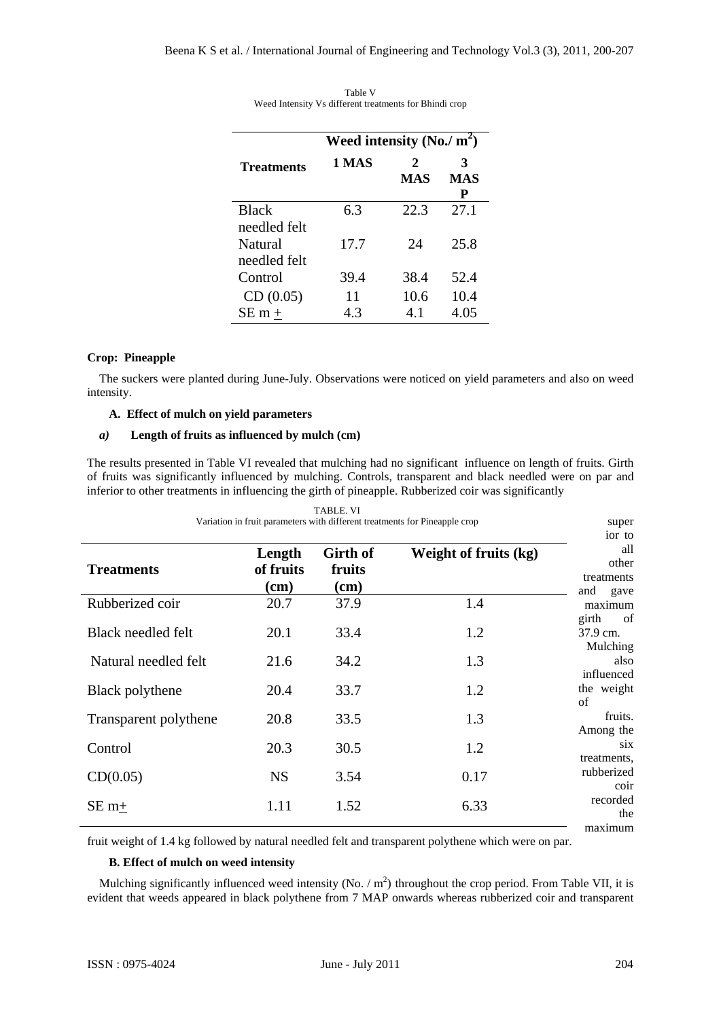|                              | Weed intensity (No./ $m^2$ ) |          |                      |
|------------------------------|------------------------------|----------|----------------------|
| <b>Treatments</b>            | 1 MAS                        | 2<br>MAS | 3<br><b>MAS</b><br>P |
| <b>Black</b><br>needled felt | 63                           | 22.3     | 27.1                 |
| Natural<br>needled felt      | 17.7                         | 24       | 25.8                 |
| Control                      | 39.4                         | 38.4     | 52.4                 |
| CD(0.05)                     | 11                           | 10.6     | 10.4                 |
| $SEm +$                      | 43                           | 4.1      | 4.05                 |

Table V Weed Intensity Vs different treatments for Bhindi crop

## **Crop: Pineapple**

The suckers were planted during June-July. Observations were noticed on yield parameters and also on weed intensity.

#### **A. Effect of mulch on yield parameters**

## *a)* **Length of fruits as influenced by mulch (cm)**

The results presented in Table VI revealed that mulching had no significant influence on length of fruits. Girth of fruits was significantly influenced by mulching. Controls, transparent and black needled were on par and inferior to other treatments in influencing the girth of pineapple. Rubberized coir was significantly

|                        |                               | <b>TABLE. VI</b>           | Variation in fruit parameters with different treatments for Pineapple crop | super<br>ior to                           |
|------------------------|-------------------------------|----------------------------|----------------------------------------------------------------------------|-------------------------------------------|
| <b>Treatments</b>      | Length<br>of fruits<br>$(cm)$ | Girth of<br>fruits<br>(cm) | Weight of fruits (kg)                                                      | all<br>other<br>treatments<br>and<br>gave |
| Rubberized coir        | 20.7                          | 37.9                       | 1.4                                                                        | maximum                                   |
| Black needled felt     | 20.1                          | 33.4                       | 1.2                                                                        | of<br>girth<br>37.9 cm.<br>Mulching       |
| Natural needled felt   | 21.6                          | 34.2                       | 1.3                                                                        | also<br>influenced                        |
| <b>Black polythene</b> | 20.4                          | 33.7                       | 1.2                                                                        | the weight<br>of                          |
| Transparent polythene  | 20.8                          | 33.5                       | 1.3                                                                        | fruits.<br>Among the                      |
| Control                | 20.3                          | 30.5                       | 1.2                                                                        | six.<br>treatments,                       |
| CD(0.05)               | <b>NS</b>                     | 3.54                       | 0.17                                                                       | rubberized<br>coir                        |
| $SE m+$                | 1.11                          | 1.52                       | 6.33                                                                       | recorded<br>the<br>maximum                |

fruit weight of 1.4 kg followed by natural needled felt and transparent polythene which were on par.

#### **B. Effect of mulch on weed intensity**

Mulching significantly influenced weed intensity (No.  $/m<sup>2</sup>$ ) throughout the crop period. From Table VII, it is evident that weeds appeared in black polythene from 7 MAP onwards whereas rubberized coir and transparent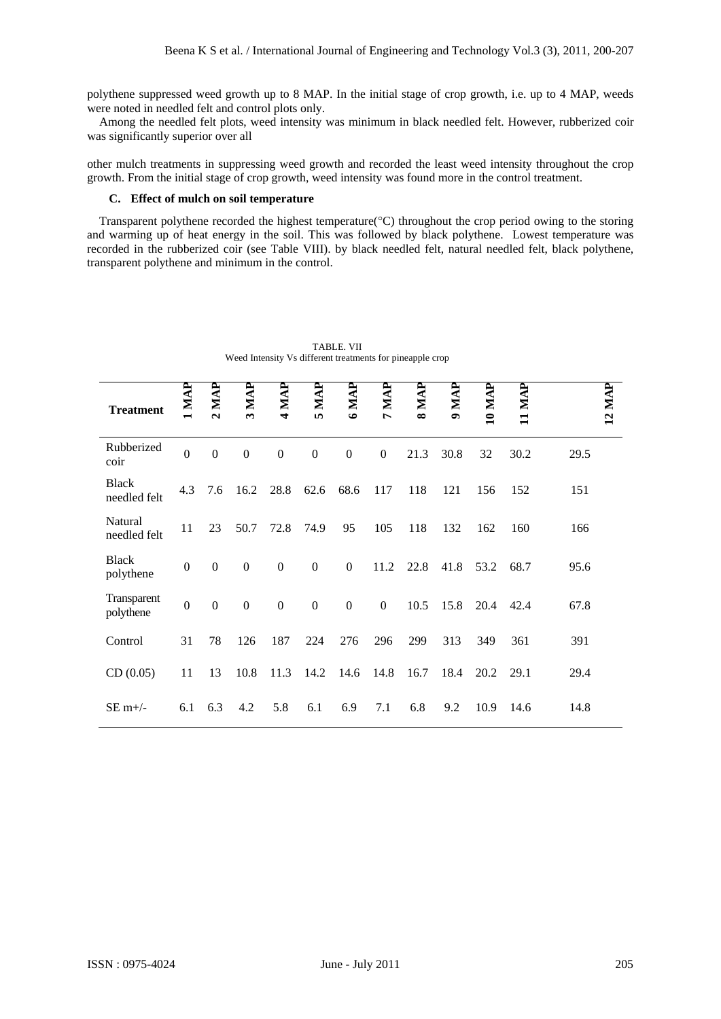polythene suppressed weed growth up to 8 MAP. In the initial stage of crop growth, i.e. up to 4 MAP, weeds were noted in needled felt and control plots only.

Among the needled felt plots, weed intensity was minimum in black needled felt. However, rubberized coir was significantly superior over all

other mulch treatments in suppressing weed growth and recorded the least weed intensity throughout the crop growth. From the initial stage of crop growth, weed intensity was found more in the control treatment.

#### **C. Effect of mulch on soil temperature**

Transparent polythene recorded the highest temperature(°C) throughout the crop period owing to the storing and warming up of heat energy in the soil. This was followed by black polythene. Lowest temperature was recorded in the rubberized coir (see Table VIII). by black needled felt, natural needled felt, black polythene, transparent polythene and minimum in the control.

| <b>Treatment</b>             | 1 MAP            | $2$ MAP          | 3 MAP            | 4 MAP            | $5$ MAP          | 6 MAP            | 7 MAP            | 8 MAI | 9 MAP | 10 MAI | 11 MAP | 12 MAP |
|------------------------------|------------------|------------------|------------------|------------------|------------------|------------------|------------------|-------|-------|--------|--------|--------|
| Rubberized<br>coir           | $\mathbf{0}$     | $\boldsymbol{0}$ | $\mathbf{0}$     | $\mathbf{0}$     | $\mathbf{0}$     | $\boldsymbol{0}$ | $\boldsymbol{0}$ | 21.3  | 30.8  | 32     | 30.2   | 29.5   |
| <b>Black</b><br>needled felt | 4.3              | 7.6              | 16.2             | 28.8             | 62.6             | 68.6             | 117              | 118   | 121   | 156    | 152    | 151    |
| Natural<br>needled felt      | 11               | 23               | 50.7             | 72.8             | 74.9             | 95               | 105              | 118   | 132   | 162    | 160    | 166    |
| <b>Black</b><br>polythene    | $\boldsymbol{0}$ | $\Omega$         | $\mathbf{0}$     | $\boldsymbol{0}$ | $\boldsymbol{0}$ | $\boldsymbol{0}$ | 11.2             | 22.8  | 41.8  | 53.2   | 68.7   | 95.6   |
| Transparent<br>polythene     | $\boldsymbol{0}$ | $\mathbf{0}$     | $\boldsymbol{0}$ | $\boldsymbol{0}$ | $\boldsymbol{0}$ | $\boldsymbol{0}$ | $\mathbf{0}$     | 10.5  | 15.8  | 20.4   | 42.4   | 67.8   |
| Control                      | 31               | 78               | 126              | 187              | 224              | 276              | 296              | 299   | 313   | 349    | 361    | 391    |
| CD(0.05)                     | 11               | 13               | 10.8             | 11.3             | 14.2             | 14.6             | 14.8             | 16.7  | 18.4  | 20.2   | 29.1   | 29.4   |
| $SE$ m+/-                    | 6.1              | 6.3              | 4.2              | 5.8              | 6.1              | 6.9              | 7.1              | 6.8   | 9.2   | 10.9   | 14.6   | 14.8   |

TABLE. VII Weed Intensity Vs different treatments for pineapple crop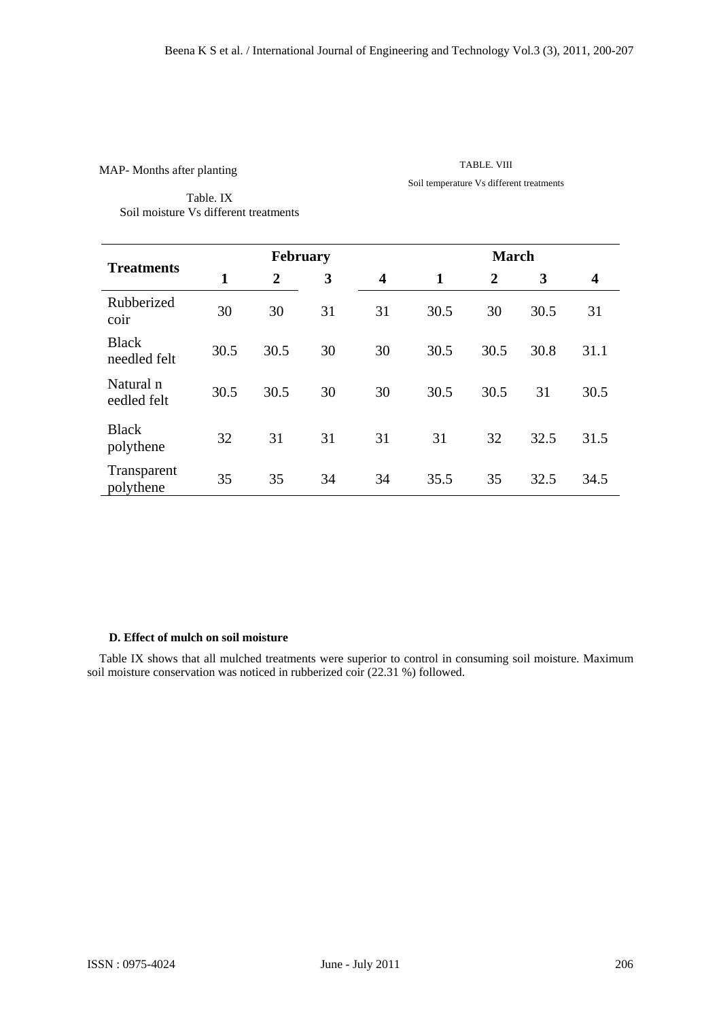TABLE. VIII Soil temperature Vs different treatments

Table. IX Soil moisture Vs different treatments

|                              |              | February       |    |                         |              |                | <b>March</b> |                         |  |
|------------------------------|--------------|----------------|----|-------------------------|--------------|----------------|--------------|-------------------------|--|
| <b>Treatments</b>            | $\mathbf{1}$ | $\overline{2}$ | 3  | $\overline{\mathbf{4}}$ | $\mathbf{1}$ | $\overline{2}$ | 3            | $\overline{\mathbf{4}}$ |  |
| Rubberized<br>coir           | 30           | 30             | 31 | 31                      | 30.5         | 30             | 30.5         | 31                      |  |
| <b>Black</b><br>needled felt | 30.5         | 30.5           | 30 | 30                      | 30.5         | 30.5           | 30.8         | 31.1                    |  |
| Natural n<br>eedled felt     | 30.5         | 30.5           | 30 | 30                      | 30.5         | 30.5           | 31           | 30.5                    |  |
| <b>Black</b><br>polythene    | 32           | 31             | 31 | 31                      | 31           | 32             | 32.5         | 31.5                    |  |
| Transparent<br>polythene     | 35           | 35             | 34 | 34                      | 35.5         | 35             | 32.5         | 34.5                    |  |

# **D. Effect of mulch on soil moisture**

Table IX shows that all mulched treatments were superior to control in consuming soil moisture. Maximum soil moisture conservation was noticed in rubberized coir (22.31 %) followed.